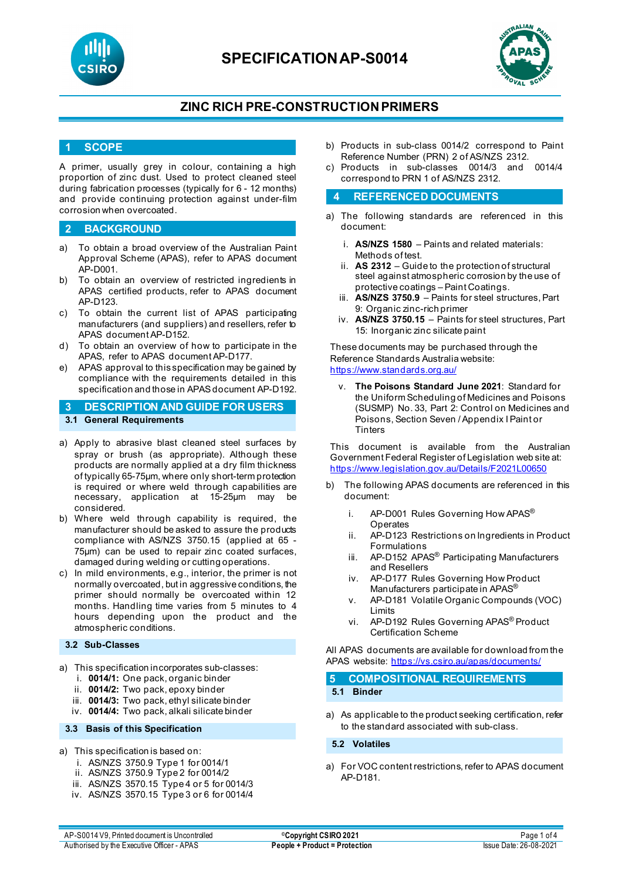

# **SPECIFICATIONAP-S0014**



# **ZINC RICH PRE-CONSTRUCTION PRIMERS**

## **1 SCOPE**

A primer, usually grey in colour, containing a high proportion of zinc dust. Used to protect cleaned steel during fabrication processes (typically for 6 - 12 months) and provide continuing protection against under-film corrosion when overcoated.

## **2 BACKGROUND**

- a) To obtain a broad overview of the Australian Paint Approval Scheme (APAS), refer to APAS document AP-D001.
- b) To obtain an overview of restricted ingredients in APAS certified products, refer to APAS document AP-D123.
- c) To obtain the current list of APAS participating manufacturers (and suppliers) and resellers, refer to APAS document AP-D152.
- d) To obtain an overview of how to participate in the APAS, refer to APAS document AP-D177.
- e) APAS approval to this specification may be gained by compliance with the requirements detailed in this specification and those in APAS document AP-D192.
- **3 DESCRIPTION AND GUIDE FOR USERS 3.1 General Requirements**
- a) Apply to abrasive blast cleaned steel surfaces by spray or brush (as appropriate). Although these products are normally applied at a dry film thickness of typically 65-75µm, where only short-term protection is required or where weld through capabilities are necessary, application at 15-25µm may be considered.
- b) Where weld through capability is required, the manufacturer should be asked to assure the products compliance with AS/NZS 3750.15 (applied at 65 - 75µm) can be used to repair zinc coated surfaces, damaged during welding or cutting operations.
- c) In mild environments, e.g., interior, the primer is not normally overcoated, but in aggressive conditions, the primer should normally be overcoated within 12 months. Handling time varies from 5 minutes to 4 hours depending upon the product and the atmospheric conditions.

## **3.2 Sub-Classes**

- a) This specification incorporates sub-classes:
	- i. **0014/1:** One pack, organic binder
	- ii. **0014/2:** Two pack, epoxy binder
	- iii. **0014/3:** Two pack, ethyl silicate binder
	- iv. **0014/4:** Two pack, alkali silicate binder

#### **3.3 Basis of this Specification**

- a) This specification is based on:
	- i. AS/NZS 3750.9 Type 1 for 0014/1
	- ii. AS/NZS 3750.9 Type 2 for 0014/2
	- iii. AS/NZS 3570.15 Type 4 or 5 for 0014/3
	- iv. AS/NZS 3570.15 Type 3 or 6 for 0014/4
- b) Products in sub-class 0014/2 correspond to Paint Reference Number (PRN) 2 of AS/NZS 2312.
- c) Products in sub-classes 0014/3 and 0014/4 correspond to PRN 1 of AS/NZS 2312.

### **4 REFERENCED DOCUMENTS**

- a) The following standards are referenced in this document:
	- i. **AS/NZS 1580** Paints and related materials: Methods of test.
	- ii. **AS 2312** Guide to the protection of structural steel against atmospheric corrosion by the use of protective coatings – Paint Coatings.
	- iii. **AS/NZS 3750.9** Paints for steel structures, Part 9: Organic zinc-rich primer
	- iv. **AS/NZS 3750.15**  Paints for steel structures, Part 15: Inorganic zinc silicate paint

These documents may be purchased through the Reference Standards Australia website: <https://www.standards.org.au/>

The Poisons Standard June 2021: Standard for the Uniform Scheduling of Medicines and Poisons (SUSMP) No. 33, Part 2: Control on Medicines and Poisons, Section Seven / Appendix I Paint or **Tinters** 

This document is available from the Australian Government Federal Register of Legislation web site at: <https://www.legislation.gov.au/Details/F2021L00650>

- b) The following APAS documents are referenced in this document:
	- i. AP-D001 Rules Governing How APAS<sup>®</sup> Operates
	- ii. AP-D123 Restrictions on Ingredients in Product Formulations
	- iii. AP-D152 APAS<sup>®</sup> Participating Manufacturers and Resellers
	- iv. AP-D177 Rules Governing How Product Manufacturers participate in APAS®
	- v. AP-D181 Volatile Organic Compounds (VOC) Limits
	- vi. AP-D192 Rules Governing APAS® Product Certification Scheme

All APAS documents are available for download from the APAS website:<https://vs.csiro.au/apas/documents/>

**5 COMPOSITIONAL REQUIREMENTS 5.1 Binder**

a) As applicable to the product seeking certification, refer to the standard associated with sub-class.

### **5.2 Volatiles**

a) For VOC content restrictions, refer to APAS document AP-D181.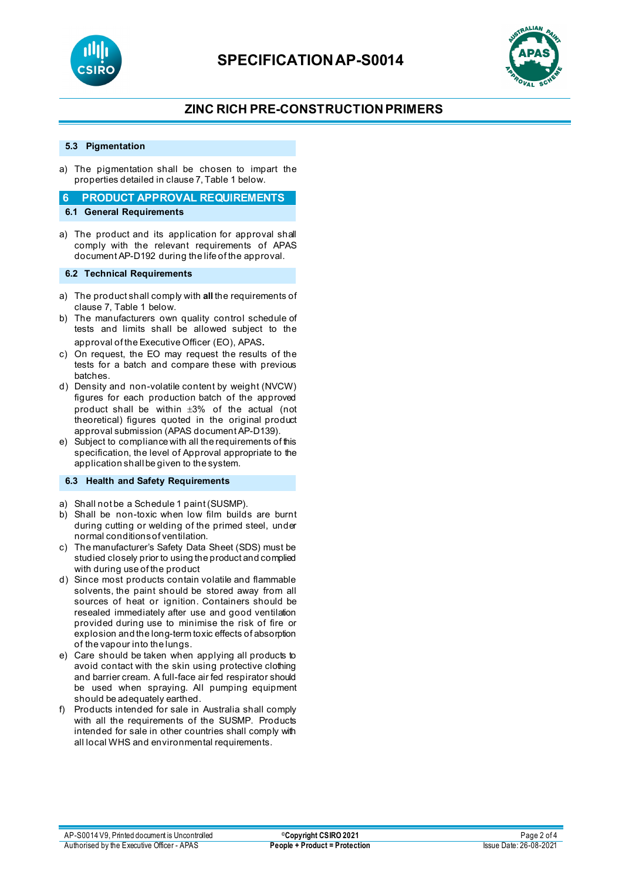



# **ZINC RICH PRE-CONSTRUCTION PRIMERS**

### **5.3 Pigmentation**

a) The pigmentation shall be chosen to impart the properties detailed in clause 7, Table 1 below.

# **6 PRODUCT APPROVAL REQUIREMENTS**

- **6.1 General Requirements**
- a) The product and its application for approval shall comply with the relevant requirements of APAS document AP-D192 during the life of the approval.

#### **6.2 Technical Requirements**

- a) The product shall comply with **all** the requirements of clause 7, Table 1 below.
- b) The manufacturers own quality control schedule of tests and limits shall be allowed subject to the approval of the Executive Officer (EO), APAS.
- c) On request, the EO may request the results of the tests for a batch and compare these with previous batches.
- d) Density and non-volatile content by weight (NVCW) figures for each production batch of the approved product shall be within ±3% of the actual (not theoretical) figures quoted in the original product approval submission (APAS document AP-D139).
- e) Subject to compliance with all the requirements of this specification, the level of Approval appropriate to the application shall be given to the system.

### **6.3 Health and Safety Requirements**

- a) Shall not be a Schedule 1 paint (SUSMP).
- b) Shall be non-toxic when low film builds are burnt during cutting or welding of the primed steel, under normal conditions of ventilation.
- c) The manufacturer's Safety Data Sheet (SDS) must be studied closely prior to using the product and complied with during use of the product
- d) Since most products contain volatile and flammable solvents, the paint should be stored away from all sources of heat or ignition. Containers should be resealed immediately after use and good ventilation provided during use to minimise the risk of fire or explosion and the long-term toxic effects of absorption of the vapour into the lungs.
- e) Care should be taken when applying all products to avoid contact with the skin using protective clothing and barrier cream. A full-face air fed respirator should be used when spraying. All pumping equipment should be adequately earthed.
- f) Products intended for sale in Australia shall comply with all the requirements of the SUSMP. Products intended for sale in other countries shall comply with all local WHS and environmental requirements.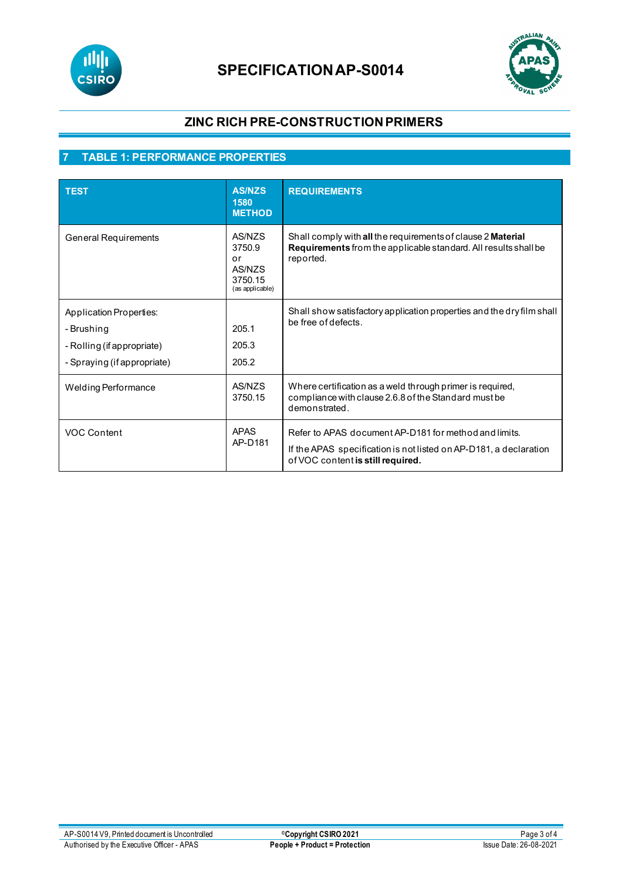

# **SPECIFICATIONAP-S0014**



# **ZINC RICH PRE-CONSTRUCTION PRIMERS**

# **7 TABLE 1: PERFORMANCE PROPERTIES**

| <b>TEST</b>                                                                                               | <b>AS/NZS</b><br>1580<br><b>METHOD</b>                         | <b>REQUIREMENTS</b>                                                                                                                                             |
|-----------------------------------------------------------------------------------------------------------|----------------------------------------------------------------|-----------------------------------------------------------------------------------------------------------------------------------------------------------------|
| General Requirements                                                                                      | AS/NZS<br>3750.9<br>or<br>AS/NZS<br>3750.15<br>(as applicable) | Shall comply with all the requirements of clause 2 Material<br>Requirements from the applicable standard. All results shall be<br>reported.                     |
| <b>Application Properties:</b><br>- Brushing<br>- Rolling (if appropriate)<br>- Spraying (if appropriate) | 205.1<br>205.3<br>205.2                                        | Shall show satisfactory application properties and the dry film shall<br>be free of defects.                                                                    |
| <b>Welding Performance</b>                                                                                | AS/NZS<br>3750.15                                              | Where certification as a weld through primer is required,<br>compliance with clause 2.6.8 of the Standard must be<br>demonstrated.                              |
| <b>VOC Content</b>                                                                                        | <b>APAS</b><br>AP-D181                                         | Refer to APAS document AP-D181 for method and limits.<br>If the APAS specification is not listed on AP-D181, a declaration<br>of VOC content is still required. |